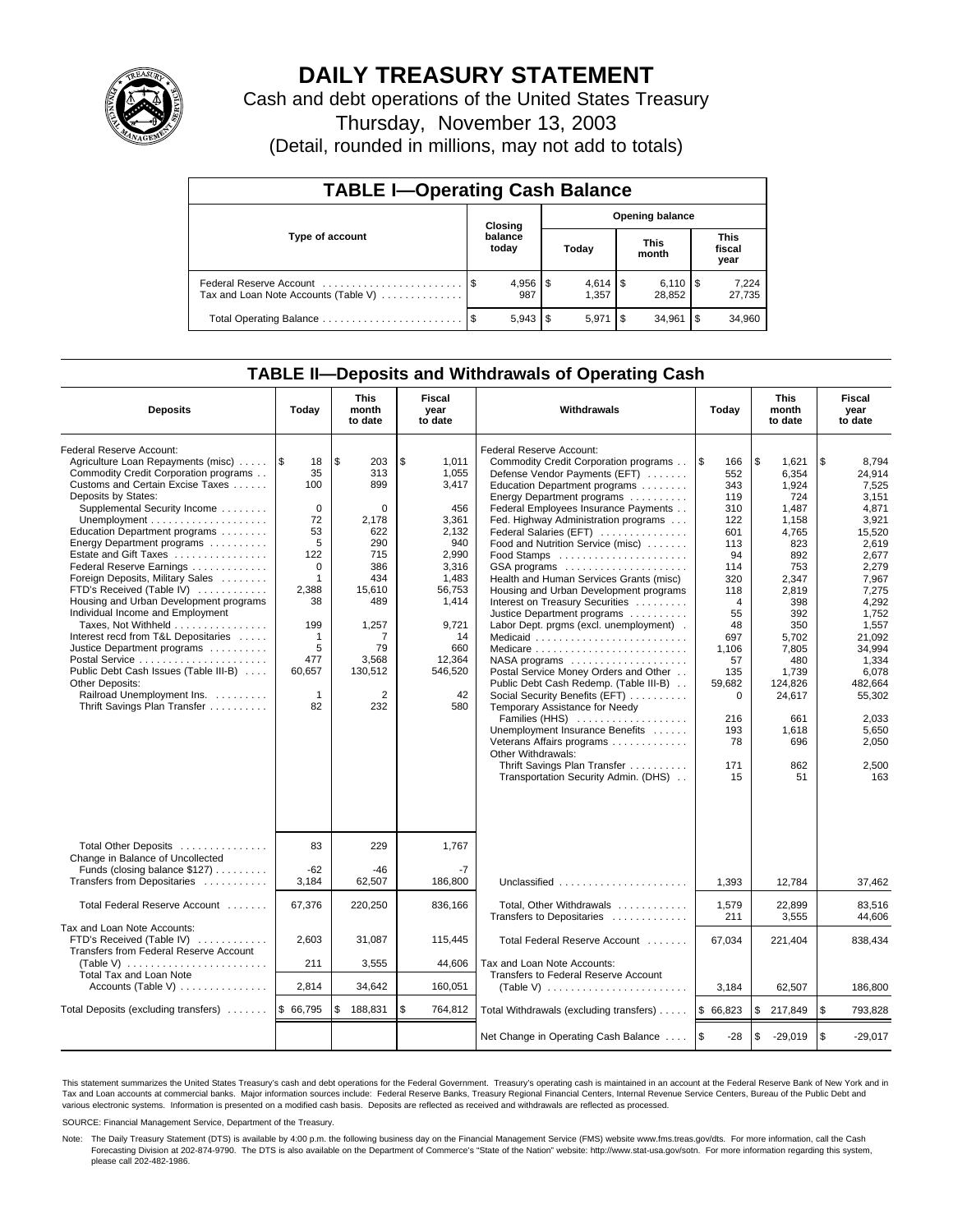

# **DAILY TREASURY STATEMENT**

Cash and debt operations of the United States Treasury

Thursday, November 13, 2003

(Detail, rounded in millions, may not add to totals)

| <b>TABLE I-Operating Cash Balance</b>                           |  |                  |       |                        |                      |                              |                               |                 |  |  |
|-----------------------------------------------------------------|--|------------------|-------|------------------------|----------------------|------------------------------|-------------------------------|-----------------|--|--|
| Type of account                                                 |  | Closing          |       | <b>Opening balance</b> |                      |                              |                               |                 |  |  |
|                                                                 |  | balance<br>today | Today |                        | <b>This</b><br>month |                              | <b>This</b><br>fiscal<br>year |                 |  |  |
| Federal Reserve Account<br>Tax and Loan Note Accounts (Table V) |  | 987              |       | $4.614$ S<br>1.357     |                      | $6,110$ $\sqrt{5}$<br>28.852 |                               | 7,224<br>27,735 |  |  |
| Total Operating Balance                                         |  |                  |       | 5.971                  | -\$                  | 34.961                       | l \$                          | 34,960          |  |  |

## **TABLE II—Deposits and Withdrawals of Operating Cash**

| <b>Deposits</b>                                                                                                                                                                                                                                                                                                                                                                                                                                                                                                                                                                                                                                                                                                                                    | Today                                                                                                                                                                   | <b>This</b><br>month<br>to date                                                                                                                      | Fiscal<br>Withdrawals<br>Today<br>year<br>to date                                                                                                                   |                                                                                                                                                                                                                                                                                                                                                                                                                                                                                                                                                                                                                                                                                                                                                                                                                                                                                                                                |                                                                                                                                                                                                                  | <b>This</b><br>month<br>to date                                                                                                                                                                                        | Fiscal<br>year<br>to date                                                                                                                                                                                                                         |
|----------------------------------------------------------------------------------------------------------------------------------------------------------------------------------------------------------------------------------------------------------------------------------------------------------------------------------------------------------------------------------------------------------------------------------------------------------------------------------------------------------------------------------------------------------------------------------------------------------------------------------------------------------------------------------------------------------------------------------------------------|-------------------------------------------------------------------------------------------------------------------------------------------------------------------------|------------------------------------------------------------------------------------------------------------------------------------------------------|---------------------------------------------------------------------------------------------------------------------------------------------------------------------|--------------------------------------------------------------------------------------------------------------------------------------------------------------------------------------------------------------------------------------------------------------------------------------------------------------------------------------------------------------------------------------------------------------------------------------------------------------------------------------------------------------------------------------------------------------------------------------------------------------------------------------------------------------------------------------------------------------------------------------------------------------------------------------------------------------------------------------------------------------------------------------------------------------------------------|------------------------------------------------------------------------------------------------------------------------------------------------------------------------------------------------------------------|------------------------------------------------------------------------------------------------------------------------------------------------------------------------------------------------------------------------|---------------------------------------------------------------------------------------------------------------------------------------------------------------------------------------------------------------------------------------------------|
| Federal Reserve Account:<br>Agriculture Loan Repayments (misc)<br>Commodity Credit Corporation programs<br>Customs and Certain Excise Taxes<br>Deposits by States:<br>Supplemental Security Income<br>Unemployment $\dots\dots\dots\dots\dots\dots\dots$<br>Education Department programs<br>Energy Department programs<br>Estate and Gift Taxes<br>Federal Reserve Earnings<br>Foreign Deposits, Military Sales<br>FTD's Received (Table IV)<br>Housing and Urban Development programs<br>Individual Income and Employment<br>Taxes, Not Withheld<br>Interest recd from T&L Depositaries<br>Justice Department programs<br>Public Debt Cash Issues (Table III-B)<br>Other Deposits:<br>Railroad Unemployment Ins.<br>Thrift Savings Plan Transfer | 1\$<br>18<br>35<br>100<br>$\Omega$<br>72<br>53<br>5<br>122<br>$\Omega$<br>$\mathbf{1}$<br>2,388<br>38<br>199<br>$\mathbf 1$<br>5<br>477<br>60,657<br>$\mathbf{1}$<br>82 | \$<br>203<br>313<br>899<br>$\Omega$<br>2,178<br>622<br>290<br>715<br>386<br>434<br>15,610<br>489<br>1,257<br>7<br>79<br>3,568<br>130,512<br>2<br>232 | \$<br>1.011<br>1,055<br>3,417<br>456<br>3,361<br>2,132<br>940<br>2,990<br>3,316<br>1,483<br>56,753<br>1,414<br>9.721<br>14<br>660<br>12,364<br>546,520<br>42<br>580 | Federal Reserve Account:<br>Commodity Credit Corporation programs<br>Defense Vendor Payments (EFT)<br>Education Department programs<br>Energy Department programs<br>Federal Employees Insurance Payments<br>Fed. Highway Administration programs<br>Federal Salaries (EFT)<br>Food and Nutrition Service (misc)<br>Health and Human Services Grants (misc)<br>Housing and Urban Development programs<br>Interest on Treasury Securities<br>Justice Department programs<br>Labor Dept. prgms (excl. unemployment) .<br>Medicare<br>$NASA$ programs $\ldots \ldots \ldots \ldots \ldots$<br>Postal Service Money Orders and Other<br>Public Debt Cash Redemp. (Table III-B)<br>Social Security Benefits (EFT)<br>Temporary Assistance for Needy<br>Families (HHS)<br>Unemployment Insurance Benefits<br>Veterans Affairs programs<br>Other Withdrawals:<br>Thrift Savings Plan Transfer<br>Transportation Security Admin. (DHS) | <b>S</b><br>166<br>552<br>343<br>119<br>310<br>122<br>601<br>113<br>94<br>114<br>320<br>118<br>$\overline{4}$<br>55<br>48<br>697<br>1,106<br>57<br>135<br>59,682<br>$\mathbf 0$<br>216<br>193<br>78<br>171<br>15 | \$<br>1,621<br>6,354<br>1,924<br>724<br>1,487<br>1,158<br>4.765<br>823<br>892<br>753<br>2,347<br>2,819<br>398<br>392<br>350<br>5,702<br>7,805<br>480<br>1,739<br>124,826<br>24,617<br>661<br>1.618<br>696<br>862<br>51 | \$<br>8,794<br>24,914<br>7,525<br>3.151<br>4,871<br>3.921<br>15.520<br>2,619<br>2,677<br>2,279<br>7,967<br>7,275<br>4,292<br>1.752<br>1.557<br>21.092<br>34,994<br>1,334<br>6,078<br>482,664<br>55,302<br>2.033<br>5,650<br>2.050<br>2,500<br>163 |
| Total Other Deposits<br>Change in Balance of Uncollected<br>Funds (closing balance \$127)<br>Transfers from Depositaries                                                                                                                                                                                                                                                                                                                                                                                                                                                                                                                                                                                                                           | 83<br>$-62$<br>3,184                                                                                                                                                    | 229<br>$-46$<br>62,507                                                                                                                               | 1.767<br>$-7$<br>186.800                                                                                                                                            | Unclassified                                                                                                                                                                                                                                                                                                                                                                                                                                                                                                                                                                                                                                                                                                                                                                                                                                                                                                                   | 1,393                                                                                                                                                                                                            | 12,784                                                                                                                                                                                                                 | 37,462                                                                                                                                                                                                                                            |
| Total Federal Reserve Account                                                                                                                                                                                                                                                                                                                                                                                                                                                                                                                                                                                                                                                                                                                      | 67,376                                                                                                                                                                  | 220,250                                                                                                                                              | 836,166                                                                                                                                                             | Total, Other Withdrawals                                                                                                                                                                                                                                                                                                                                                                                                                                                                                                                                                                                                                                                                                                                                                                                                                                                                                                       | 1,579                                                                                                                                                                                                            | 22,899                                                                                                                                                                                                                 | 83,516                                                                                                                                                                                                                                            |
| Tax and Loan Note Accounts:<br>FTD's Received (Table IV)<br>Transfers from Federal Reserve Account<br>(Table V) $\ldots \ldots \ldots \ldots \ldots \ldots \ldots$<br>Total Tax and Loan Note                                                                                                                                                                                                                                                                                                                                                                                                                                                                                                                                                      | 2,603<br>211                                                                                                                                                            | 31,087<br>3,555                                                                                                                                      | 115,445<br>44,606                                                                                                                                                   | Transfers to Depositaries<br>Total Federal Reserve Account<br>Tax and Loan Note Accounts:<br>Transfers to Federal Reserve Account                                                                                                                                                                                                                                                                                                                                                                                                                                                                                                                                                                                                                                                                                                                                                                                              | 211<br>67,034                                                                                                                                                                                                    | 3,555<br>221,404                                                                                                                                                                                                       | 44,606<br>838,434                                                                                                                                                                                                                                 |
| Accounts (Table V) $\dots \dots \dots \dots$                                                                                                                                                                                                                                                                                                                                                                                                                                                                                                                                                                                                                                                                                                       | 2,814                                                                                                                                                                   | 34,642                                                                                                                                               | 160,051                                                                                                                                                             |                                                                                                                                                                                                                                                                                                                                                                                                                                                                                                                                                                                                                                                                                                                                                                                                                                                                                                                                | 3,184                                                                                                                                                                                                            | 62,507                                                                                                                                                                                                                 | 186,800                                                                                                                                                                                                                                           |
| Total Deposits (excluding transfers)                                                                                                                                                                                                                                                                                                                                                                                                                                                                                                                                                                                                                                                                                                               | \$ 66,795                                                                                                                                                               | 188,831<br>\$                                                                                                                                        | \$<br>764,812                                                                                                                                                       | Total Withdrawals (excluding transfers)                                                                                                                                                                                                                                                                                                                                                                                                                                                                                                                                                                                                                                                                                                                                                                                                                                                                                        | \$66,823                                                                                                                                                                                                         | \$<br>217,849                                                                                                                                                                                                          | \$<br>793,828                                                                                                                                                                                                                                     |
|                                                                                                                                                                                                                                                                                                                                                                                                                                                                                                                                                                                                                                                                                                                                                    |                                                                                                                                                                         |                                                                                                                                                      |                                                                                                                                                                     | Net Change in Operating Cash Balance                                                                                                                                                                                                                                                                                                                                                                                                                                                                                                                                                                                                                                                                                                                                                                                                                                                                                           | l \$<br>$-28$                                                                                                                                                                                                    | \$<br>$-29,019$                                                                                                                                                                                                        | l \$<br>$-29,017$                                                                                                                                                                                                                                 |

This statement summarizes the United States Treasury's cash and debt operations for the Federal Government. Treasury's operating cash is maintained in an account at the Federal Reserve Bank of New York and in Tax and Loan accounts at commercial banks. Major information sources include: Federal Reserve Banks, Treasury Regional Financial Centers, Internal Revenue Service Centers, Bureau of the Public Debt and<br>various electronic s

SOURCE: Financial Management Service, Department of the Treasury.

Note: The Daily Treasury Statement (DTS) is available by 4:00 p.m. the following business day on the Financial Management Service (FMS) website www.fms.treas.gov/dts. For more information, call the Cash Forecasting Division at 202-874-9790. The DTS is also available on the Department of Commerce's "State of the Nation" website: http://www.stat-usa.gov/sotn. For more information regarding this system, please call 202-482-1986.